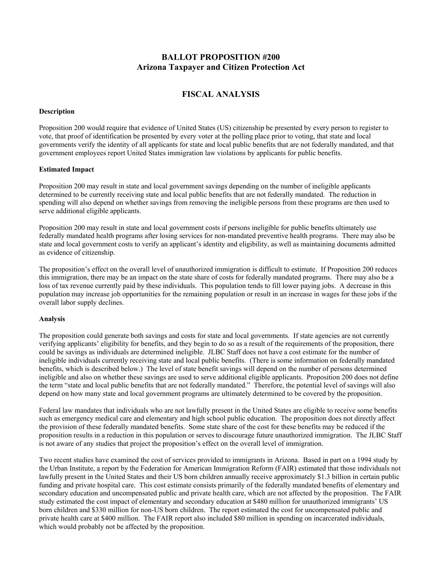## **BALLOT PROPOSITION #200 Arizona Taxpayer and Citizen Protection Act**

# **FISCAL ANALYSIS**

## **Description**

Proposition 200 would require that evidence of United States (US) citizenship be presented by every person to register to vote, that proof of identification be presented by every voter at the polling place prior to voting, that state and local governments verify the identity of all applicants for state and local public benefits that are not federally mandated, and that government employees report United States immigration law violations by applicants for public benefits.

### **Estimated Impact**

Proposition 200 may result in state and local government savings depending on the number of ineligible applicants determined to be currently receiving state and local public benefits that are not federally mandated. The reduction in spending will also depend on whether savings from removing the ineligible persons from these programs are then used to serve additional eligible applicants.

Proposition 200 may result in state and local government costs if persons ineligible for public benefits ultimately use federally mandated health programs after losing services for non-mandated preventive health programs. There may also be state and local government costs to verify an applicant's identity and eligibility, as well as maintaining documents admitted as evidence of citizenship.

The proposition's effect on the overall level of unauthorized immigration is difficult to estimate. If Proposition 200 reduces this immigration, there may be an impact on the state share of costs for federally mandated programs. There may also be a loss of tax revenue currently paid by these individuals. This population tends to fill lower paying jobs. A decrease in this population may increase job opportunities for the remaining population or result in an increase in wages for these jobs if the overall labor supply declines.

#### **Analysis**

The proposition could generate both savings and costs for state and local governments. If state agencies are not currently verifying applicants' eligibility for benefits, and they begin to do so as a result of the requirements of the proposition, there could be savings as individuals are determined ineligible. JLBC Staff does not have a cost estimate for the number of ineligible individuals currently receiving state and local public benefits. (There is some information on federally mandated benefits, which is described below.) The level of state benefit savings will depend on the number of persons determined ineligible and also on whether these savings are used to serve additional eligible applicants. Proposition 200 does not define the term "state and local public benefits that are not federally mandated." Therefore, the potential level of savings will also depend on how many state and local government programs are ultimately determined to be covered by the proposition.

Federal law mandates that individuals who are not lawfully present in the United States are eligible to receive some benefits such as emergency medical care and elementary and high school public education. The proposition does not directly affect the provision of these federally mandated benefits. Some state share of the cost for these benefits may be reduced if the proposition results in a reduction in this population or serves to discourage future unauthorized immigration. The JLBC Staff is not aware of any studies that project the proposition's effect on the overall level of immigration.

Two recent studies have examined the cost of services provided to immigrants in Arizona. Based in part on a 1994 study by the Urban Institute, a report by the Federation for American Immigration Reform (FAIR) estimated that those individuals not lawfully present in the United States and their US born children annually receive approximately \$1.3 billion in certain public funding and private hospital care. This cost estimate consists primarily of the federally mandated benefits of elementary and secondary education and uncompensated public and private health care, which are not affected by the proposition. The FAIR study estimated the cost impact of elementary and secondary education at \$480 million for unauthorized immigrants' US born children and \$330 million for non-US born children. The report estimated the cost for uncompensated public and private health care at \$400 million. The FAIR report also included \$80 million in spending on incarcerated individuals, which would probably not be affected by the proposition.